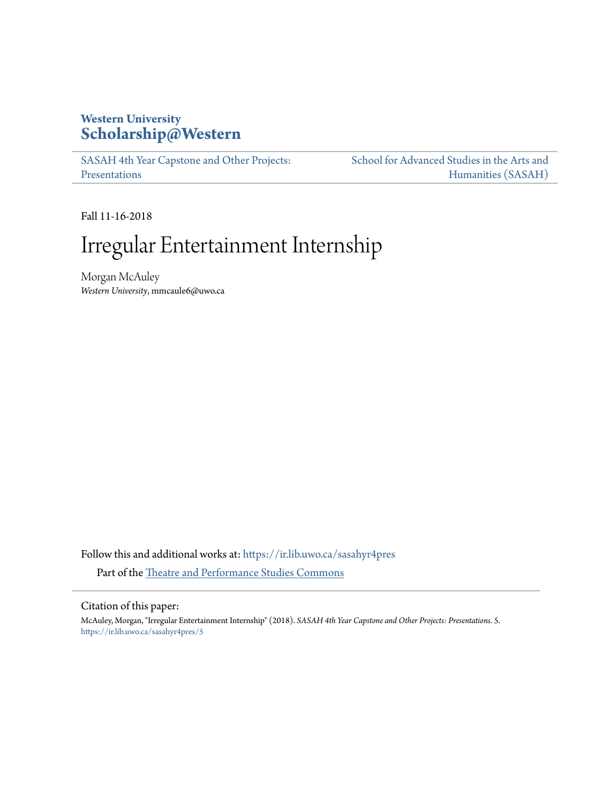### **Western University [Scholarship@Western](https://ir.lib.uwo.ca?utm_source=ir.lib.uwo.ca%2Fsasahyr4pres%2F5&utm_medium=PDF&utm_campaign=PDFCoverPages)**

[SASAH 4th Year Capstone and Other Projects:](https://ir.lib.uwo.ca/sasahyr4pres?utm_source=ir.lib.uwo.ca%2Fsasahyr4pres%2F5&utm_medium=PDF&utm_campaign=PDFCoverPages) [Presentations](https://ir.lib.uwo.ca/sasahyr4pres?utm_source=ir.lib.uwo.ca%2Fsasahyr4pres%2F5&utm_medium=PDF&utm_campaign=PDFCoverPages)

[School for Advanced Studies in the Arts and](https://ir.lib.uwo.ca/sasah?utm_source=ir.lib.uwo.ca%2Fsasahyr4pres%2F5&utm_medium=PDF&utm_campaign=PDFCoverPages) [Humanities \(SASAH\)](https://ir.lib.uwo.ca/sasah?utm_source=ir.lib.uwo.ca%2Fsasahyr4pres%2F5&utm_medium=PDF&utm_campaign=PDFCoverPages)

Fall 11-16-2018

# Irregular Entertainment Internship

Morgan McAuley *Western University*, mmcaule6@uwo.ca

Follow this and additional works at: [https://ir.lib.uwo.ca/sasahyr4pres](https://ir.lib.uwo.ca/sasahyr4pres?utm_source=ir.lib.uwo.ca%2Fsasahyr4pres%2F5&utm_medium=PDF&utm_campaign=PDFCoverPages) Part of the [Theatre and Performance Studies Commons](http://network.bepress.com/hgg/discipline/552?utm_source=ir.lib.uwo.ca%2Fsasahyr4pres%2F5&utm_medium=PDF&utm_campaign=PDFCoverPages)

#### Citation of this paper:

McAuley, Morgan, "Irregular Entertainment Internship" (2018). *SASAH 4th Year Capstone and Other Projects: Presentations*. 5. [https://ir.lib.uwo.ca/sasahyr4pres/5](https://ir.lib.uwo.ca/sasahyr4pres/5?utm_source=ir.lib.uwo.ca%2Fsasahyr4pres%2F5&utm_medium=PDF&utm_campaign=PDFCoverPages)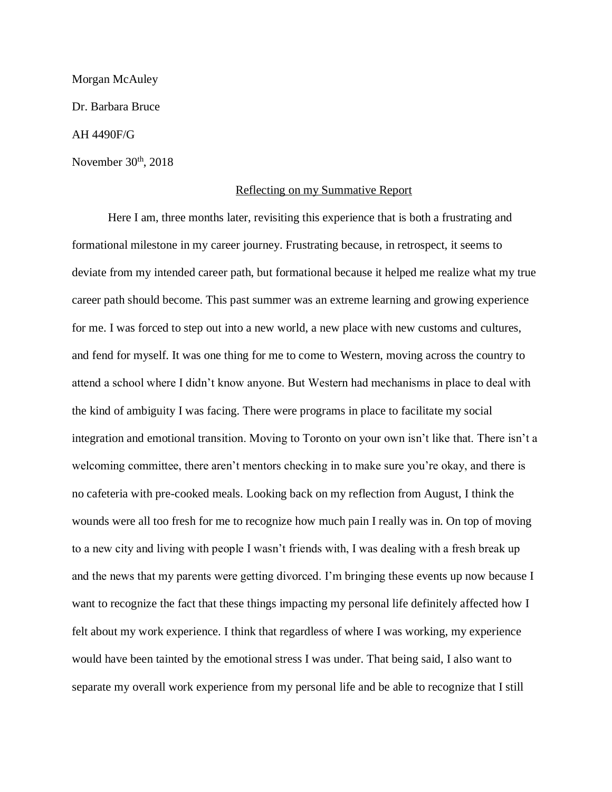Morgan McAuley Dr. Barbara Bruce AH 4490F/G November  $30<sup>th</sup>$ ,  $2018$ 

#### Reflecting on my Summative Report

Here I am, three months later, revisiting this experience that is both a frustrating and formational milestone in my career journey. Frustrating because, in retrospect, it seems to deviate from my intended career path, but formational because it helped me realize what my true career path should become. This past summer was an extreme learning and growing experience for me. I was forced to step out into a new world, a new place with new customs and cultures, and fend for myself. It was one thing for me to come to Western, moving across the country to attend a school where I didn't know anyone. But Western had mechanisms in place to deal with the kind of ambiguity I was facing. There were programs in place to facilitate my social integration and emotional transition. Moving to Toronto on your own isn't like that. There isn't a welcoming committee, there aren't mentors checking in to make sure you're okay, and there is no cafeteria with pre-cooked meals. Looking back on my reflection from August, I think the wounds were all too fresh for me to recognize how much pain I really was in. On top of moving to a new city and living with people I wasn't friends with, I was dealing with a fresh break up and the news that my parents were getting divorced. I'm bringing these events up now because I want to recognize the fact that these things impacting my personal life definitely affected how I felt about my work experience. I think that regardless of where I was working, my experience would have been tainted by the emotional stress I was under. That being said, I also want to separate my overall work experience from my personal life and be able to recognize that I still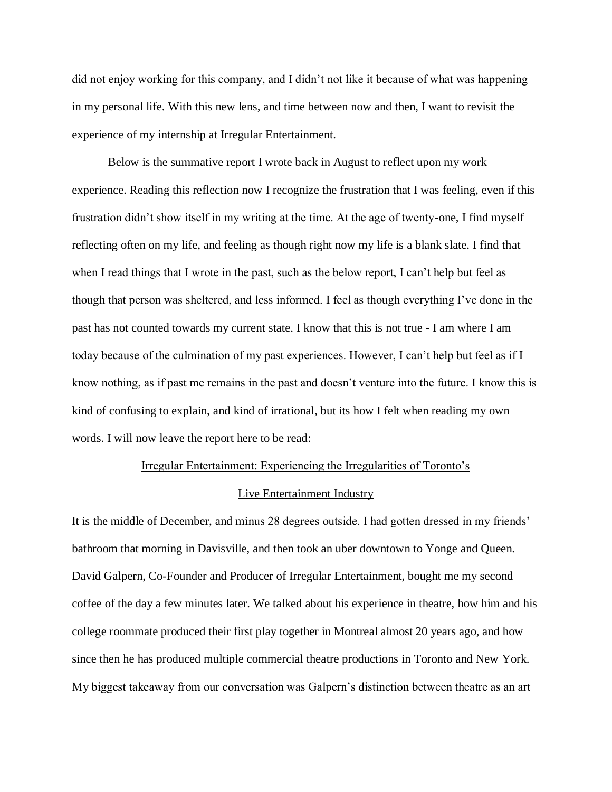did not enjoy working for this company, and I didn't not like it because of what was happening in my personal life. With this new lens, and time between now and then, I want to revisit the experience of my internship at Irregular Entertainment.

Below is the summative report I wrote back in August to reflect upon my work experience. Reading this reflection now I recognize the frustration that I was feeling, even if this frustration didn't show itself in my writing at the time. At the age of twenty-one, I find myself reflecting often on my life, and feeling as though right now my life is a blank slate. I find that when I read things that I wrote in the past, such as the below report, I can't help but feel as though that person was sheltered, and less informed. I feel as though everything I've done in the past has not counted towards my current state. I know that this is not true - I am where I am today because of the culmination of my past experiences. However, I can't help but feel as if I know nothing, as if past me remains in the past and doesn't venture into the future. I know this is kind of confusing to explain, and kind of irrational, but its how I felt when reading my own words. I will now leave the report here to be read:

## Irregular Entertainment: Experiencing the Irregularities of Toronto's Live Entertainment Industry

It is the middle of December, and minus 28 degrees outside. I had gotten dressed in my friends' bathroom that morning in Davisville, and then took an uber downtown to Yonge and Queen. David Galpern, Co-Founder and Producer of Irregular Entertainment, bought me my second coffee of the day a few minutes later. We talked about his experience in theatre, how him and his college roommate produced their first play together in Montreal almost 20 years ago, and how since then he has produced multiple commercial theatre productions in Toronto and New York. My biggest takeaway from our conversation was Galpern's distinction between theatre as an art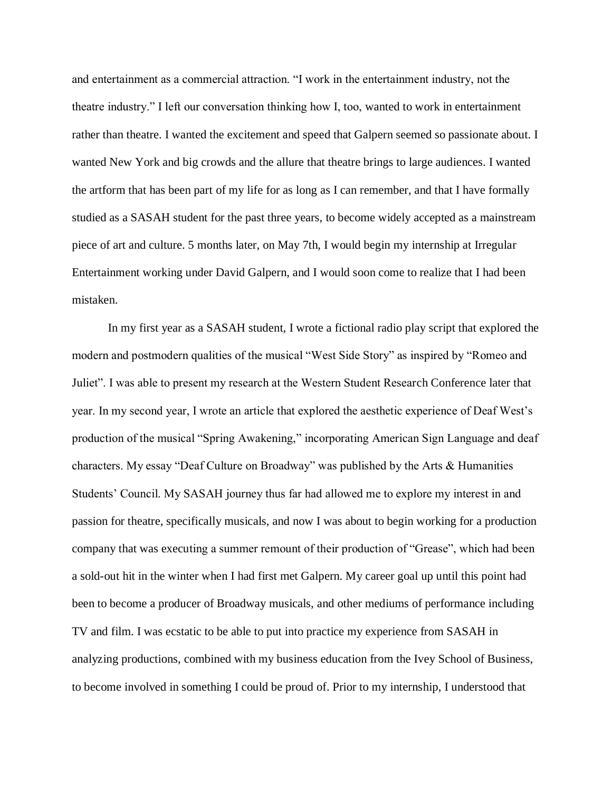and entertainment as a commercial attraction. "I work in the entertainment industry, not the theatre industry." I left our conversation thinking how I, too, wanted to work in entertainment rather than theatre. I wanted the excitement and speed that Galpern seemed so passionate about. I wanted New York and big crowds and the allure that theatre brings to large audiences. I wanted the artform that has been part of my life for as long as I can remember, and that I have formally studied as a SASAH student for the past three years, to become widely accepted as a mainstream piece of art and culture. 5 months later, on May 7th, I would begin my internship at Irregular Entertainment working under David Galpern, and I would soon come to realize that I had been mistaken.

In my first year as a SASAH student, I wrote a fictional radio play script that explored the modern and postmodern qualities of the musical "West Side Story" as inspired by "Romeo and Juliet". I was able to present my research at the Western Student Research Conference later that year. In my second year, I wrote an article that explored the aesthetic experience of Deaf West's production of the musical "Spring Awakening," incorporating American Sign Language and deaf characters. My essay "Deaf Culture on Broadway" was published by the Arts & Humanities Students' Council. My SASAH journey thus far had allowed me to explore my interest in and passion for theatre, specifically musicals, and now I was about to begin working for a production company that was executing a summer remount of their production of "Grease", which had been a sold-out hit in the winter when I had first met Galpern. My career goal up until this point had been to become a producer of Broadway musicals, and other mediums of performance including TV and film. I was ecstatic to be able to put into practice my experience from SASAH in analyzing productions, combined with my business education from the Ivey School of Business, to become involved in something I could be proud of. Prior to my internship, I understood that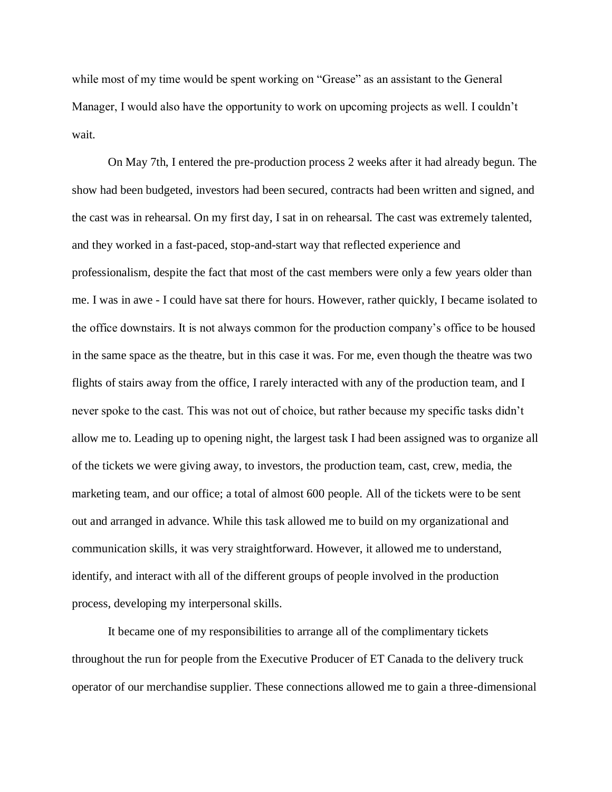while most of my time would be spent working on "Grease" as an assistant to the General Manager, I would also have the opportunity to work on upcoming projects as well. I couldn't wait.

On May 7th, I entered the pre-production process 2 weeks after it had already begun. The show had been budgeted, investors had been secured, contracts had been written and signed, and the cast was in rehearsal. On my first day, I sat in on rehearsal. The cast was extremely talented, and they worked in a fast-paced, stop-and-start way that reflected experience and professionalism, despite the fact that most of the cast members were only a few years older than me. I was in awe - I could have sat there for hours. However, rather quickly, I became isolated to the office downstairs. It is not always common for the production company's office to be housed in the same space as the theatre, but in this case it was. For me, even though the theatre was two flights of stairs away from the office, I rarely interacted with any of the production team, and I never spoke to the cast. This was not out of choice, but rather because my specific tasks didn't allow me to. Leading up to opening night, the largest task I had been assigned was to organize all of the tickets we were giving away, to investors, the production team, cast, crew, media, the marketing team, and our office; a total of almost 600 people. All of the tickets were to be sent out and arranged in advance. While this task allowed me to build on my organizational and communication skills, it was very straightforward. However, it allowed me to understand, identify, and interact with all of the different groups of people involved in the production process, developing my interpersonal skills.

It became one of my responsibilities to arrange all of the complimentary tickets throughout the run for people from the Executive Producer of ET Canada to the delivery truck operator of our merchandise supplier. These connections allowed me to gain a three-dimensional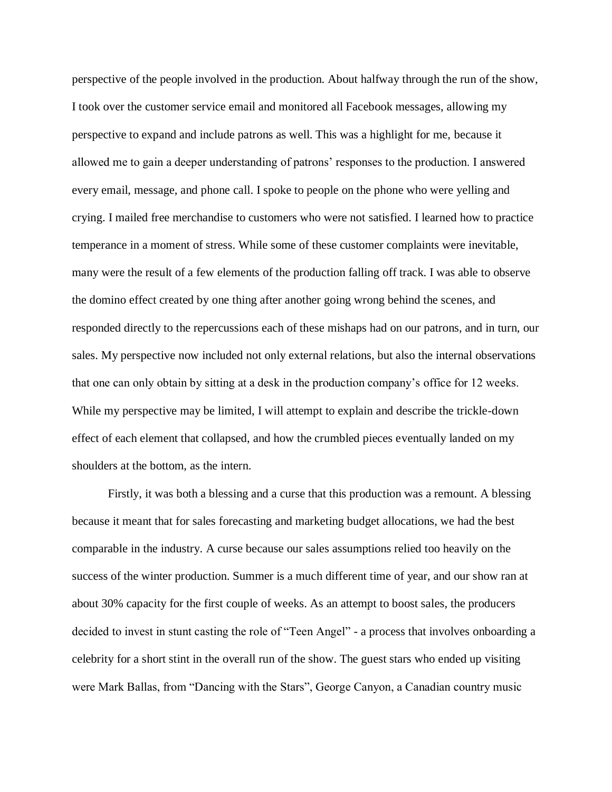perspective of the people involved in the production. About halfway through the run of the show, I took over the customer service email and monitored all Facebook messages, allowing my perspective to expand and include patrons as well. This was a highlight for me, because it allowed me to gain a deeper understanding of patrons' responses to the production. I answered every email, message, and phone call. I spoke to people on the phone who were yelling and crying. I mailed free merchandise to customers who were not satisfied. I learned how to practice temperance in a moment of stress. While some of these customer complaints were inevitable, many were the result of a few elements of the production falling off track. I was able to observe the domino effect created by one thing after another going wrong behind the scenes, and responded directly to the repercussions each of these mishaps had on our patrons, and in turn, our sales. My perspective now included not only external relations, but also the internal observations that one can only obtain by sitting at a desk in the production company's office for 12 weeks. While my perspective may be limited, I will attempt to explain and describe the trickle-down effect of each element that collapsed, and how the crumbled pieces eventually landed on my shoulders at the bottom, as the intern.

Firstly, it was both a blessing and a curse that this production was a remount. A blessing because it meant that for sales forecasting and marketing budget allocations, we had the best comparable in the industry. A curse because our sales assumptions relied too heavily on the success of the winter production. Summer is a much different time of year, and our show ran at about 30% capacity for the first couple of weeks. As an attempt to boost sales, the producers decided to invest in stunt casting the role of "Teen Angel" - a process that involves onboarding a celebrity for a short stint in the overall run of the show. The guest stars who ended up visiting were Mark Ballas, from "Dancing with the Stars", George Canyon, a Canadian country music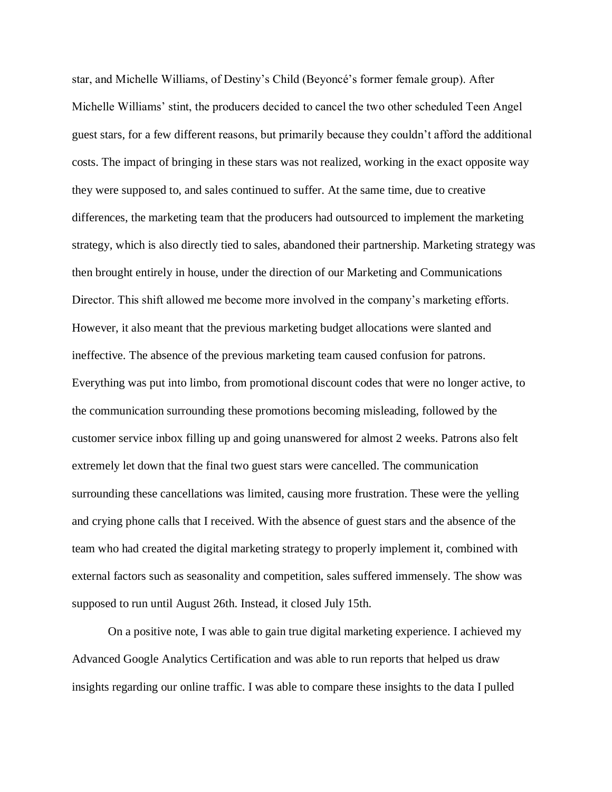star, and Michelle Williams, of Destiny's Child (Beyoncé's former female group). After Michelle Williams' stint, the producers decided to cancel the two other scheduled Teen Angel guest stars, for a few different reasons, but primarily because they couldn't afford the additional costs. The impact of bringing in these stars was not realized, working in the exact opposite way they were supposed to, and sales continued to suffer. At the same time, due to creative differences, the marketing team that the producers had outsourced to implement the marketing strategy, which is also directly tied to sales, abandoned their partnership. Marketing strategy was then brought entirely in house, under the direction of our Marketing and Communications Director. This shift allowed me become more involved in the company's marketing efforts. However, it also meant that the previous marketing budget allocations were slanted and ineffective. The absence of the previous marketing team caused confusion for patrons. Everything was put into limbo, from promotional discount codes that were no longer active, to the communication surrounding these promotions becoming misleading, followed by the customer service inbox filling up and going unanswered for almost 2 weeks. Patrons also felt extremely let down that the final two guest stars were cancelled. The communication surrounding these cancellations was limited, causing more frustration. These were the yelling and crying phone calls that I received. With the absence of guest stars and the absence of the team who had created the digital marketing strategy to properly implement it, combined with external factors such as seasonality and competition, sales suffered immensely. The show was supposed to run until August 26th. Instead, it closed July 15th.

On a positive note, I was able to gain true digital marketing experience. I achieved my Advanced Google Analytics Certification and was able to run reports that helped us draw insights regarding our online traffic. I was able to compare these insights to the data I pulled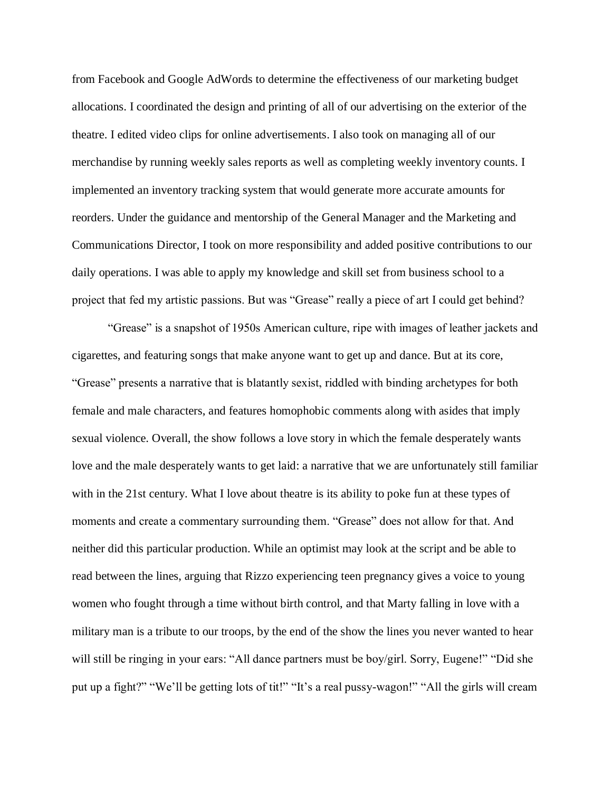from Facebook and Google AdWords to determine the effectiveness of our marketing budget allocations. I coordinated the design and printing of all of our advertising on the exterior of the theatre. I edited video clips for online advertisements. I also took on managing all of our merchandise by running weekly sales reports as well as completing weekly inventory counts. I implemented an inventory tracking system that would generate more accurate amounts for reorders. Under the guidance and mentorship of the General Manager and the Marketing and Communications Director, I took on more responsibility and added positive contributions to our daily operations. I was able to apply my knowledge and skill set from business school to a project that fed my artistic passions. But was "Grease" really a piece of art I could get behind?

"Grease" is a snapshot of 1950s American culture, ripe with images of leather jackets and cigarettes, and featuring songs that make anyone want to get up and dance. But at its core, "Grease" presents a narrative that is blatantly sexist, riddled with binding archetypes for both female and male characters, and features homophobic comments along with asides that imply sexual violence. Overall, the show follows a love story in which the female desperately wants love and the male desperately wants to get laid: a narrative that we are unfortunately still familiar with in the 21st century. What I love about theatre is its ability to poke fun at these types of moments and create a commentary surrounding them. "Grease" does not allow for that. And neither did this particular production. While an optimist may look at the script and be able to read between the lines, arguing that Rizzo experiencing teen pregnancy gives a voice to young women who fought through a time without birth control, and that Marty falling in love with a military man is a tribute to our troops, by the end of the show the lines you never wanted to hear will still be ringing in your ears: "All dance partners must be boy/girl. Sorry, Eugene!" "Did she put up a fight?" "We'll be getting lots of tit!" "It's a real pussy-wagon!" "All the girls will cream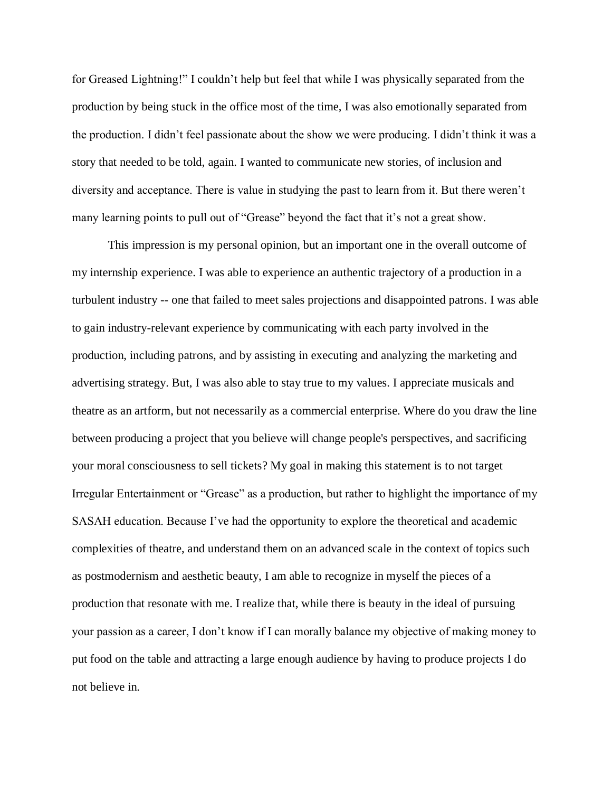for Greased Lightning!" I couldn't help but feel that while I was physically separated from the production by being stuck in the office most of the time, I was also emotionally separated from the production. I didn't feel passionate about the show we were producing. I didn't think it was a story that needed to be told, again. I wanted to communicate new stories, of inclusion and diversity and acceptance. There is value in studying the past to learn from it. But there weren't many learning points to pull out of "Grease" beyond the fact that it's not a great show.

This impression is my personal opinion, but an important one in the overall outcome of my internship experience. I was able to experience an authentic trajectory of a production in a turbulent industry -- one that failed to meet sales projections and disappointed patrons. I was able to gain industry-relevant experience by communicating with each party involved in the production, including patrons, and by assisting in executing and analyzing the marketing and advertising strategy. But, I was also able to stay true to my values. I appreciate musicals and theatre as an artform, but not necessarily as a commercial enterprise. Where do you draw the line between producing a project that you believe will change people's perspectives, and sacrificing your moral consciousness to sell tickets? My goal in making this statement is to not target Irregular Entertainment or "Grease" as a production, but rather to highlight the importance of my SASAH education. Because I've had the opportunity to explore the theoretical and academic complexities of theatre, and understand them on an advanced scale in the context of topics such as postmodernism and aesthetic beauty, I am able to recognize in myself the pieces of a production that resonate with me. I realize that, while there is beauty in the ideal of pursuing your passion as a career, I don't know if I can morally balance my objective of making money to put food on the table and attracting a large enough audience by having to produce projects I do not believe in.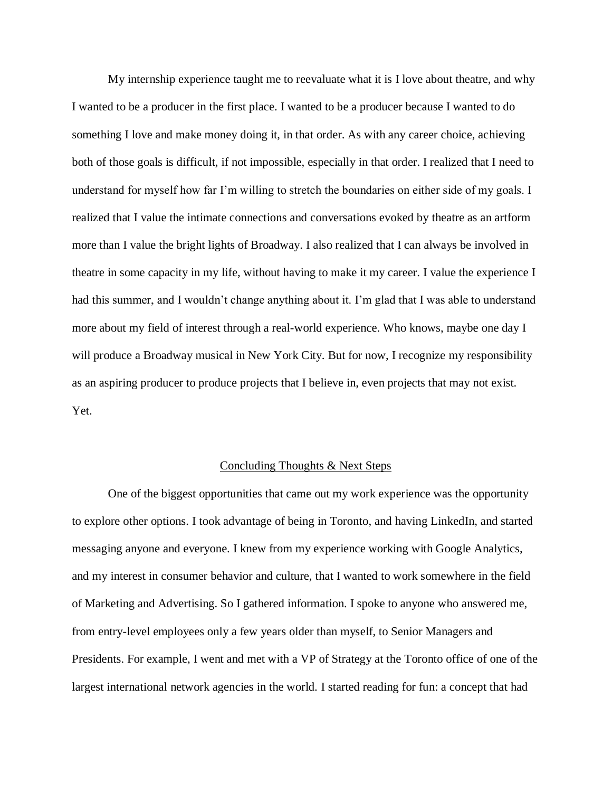My internship experience taught me to reevaluate what it is I love about theatre, and why I wanted to be a producer in the first place. I wanted to be a producer because I wanted to do something I love and make money doing it, in that order. As with any career choice, achieving both of those goals is difficult, if not impossible, especially in that order. I realized that I need to understand for myself how far I'm willing to stretch the boundaries on either side of my goals. I realized that I value the intimate connections and conversations evoked by theatre as an artform more than I value the bright lights of Broadway. I also realized that I can always be involved in theatre in some capacity in my life, without having to make it my career. I value the experience I had this summer, and I wouldn't change anything about it. I'm glad that I was able to understand more about my field of interest through a real-world experience. Who knows, maybe one day I will produce a Broadway musical in New York City. But for now, I recognize my responsibility as an aspiring producer to produce projects that I believe in, even projects that may not exist. Yet.

#### Concluding Thoughts & Next Steps

One of the biggest opportunities that came out my work experience was the opportunity to explore other options. I took advantage of being in Toronto, and having LinkedIn, and started messaging anyone and everyone. I knew from my experience working with Google Analytics, and my interest in consumer behavior and culture, that I wanted to work somewhere in the field of Marketing and Advertising. So I gathered information. I spoke to anyone who answered me, from entry-level employees only a few years older than myself, to Senior Managers and Presidents. For example, I went and met with a VP of Strategy at the Toronto office of one of the largest international network agencies in the world. I started reading for fun: a concept that had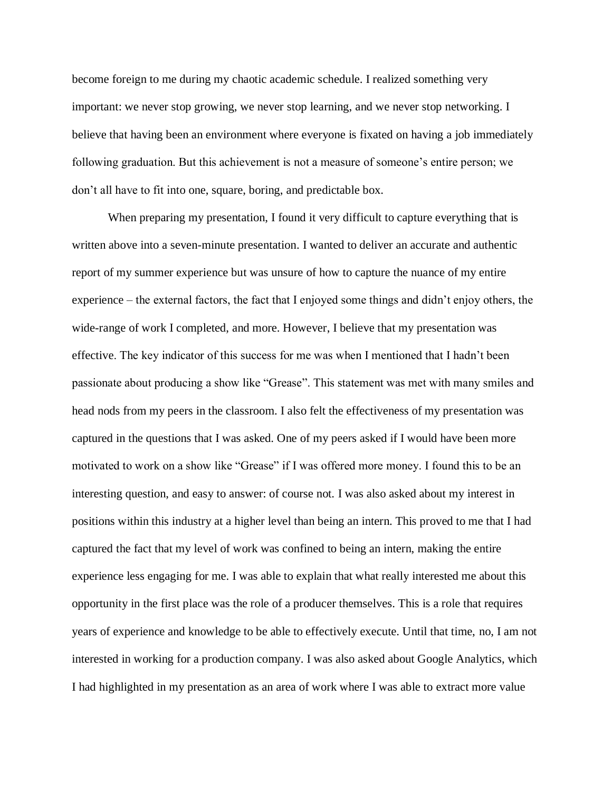become foreign to me during my chaotic academic schedule. I realized something very important: we never stop growing, we never stop learning, and we never stop networking. I believe that having been an environment where everyone is fixated on having a job immediately following graduation. But this achievement is not a measure of someone's entire person; we don't all have to fit into one, square, boring, and predictable box.

When preparing my presentation, I found it very difficult to capture everything that is written above into a seven-minute presentation. I wanted to deliver an accurate and authentic report of my summer experience but was unsure of how to capture the nuance of my entire experience – the external factors, the fact that I enjoyed some things and didn't enjoy others, the wide-range of work I completed, and more. However, I believe that my presentation was effective. The key indicator of this success for me was when I mentioned that I hadn't been passionate about producing a show like "Grease". This statement was met with many smiles and head nods from my peers in the classroom. I also felt the effectiveness of my presentation was captured in the questions that I was asked. One of my peers asked if I would have been more motivated to work on a show like "Grease" if I was offered more money. I found this to be an interesting question, and easy to answer: of course not. I was also asked about my interest in positions within this industry at a higher level than being an intern. This proved to me that I had captured the fact that my level of work was confined to being an intern, making the entire experience less engaging for me. I was able to explain that what really interested me about this opportunity in the first place was the role of a producer themselves. This is a role that requires years of experience and knowledge to be able to effectively execute. Until that time, no, I am not interested in working for a production company. I was also asked about Google Analytics, which I had highlighted in my presentation as an area of work where I was able to extract more value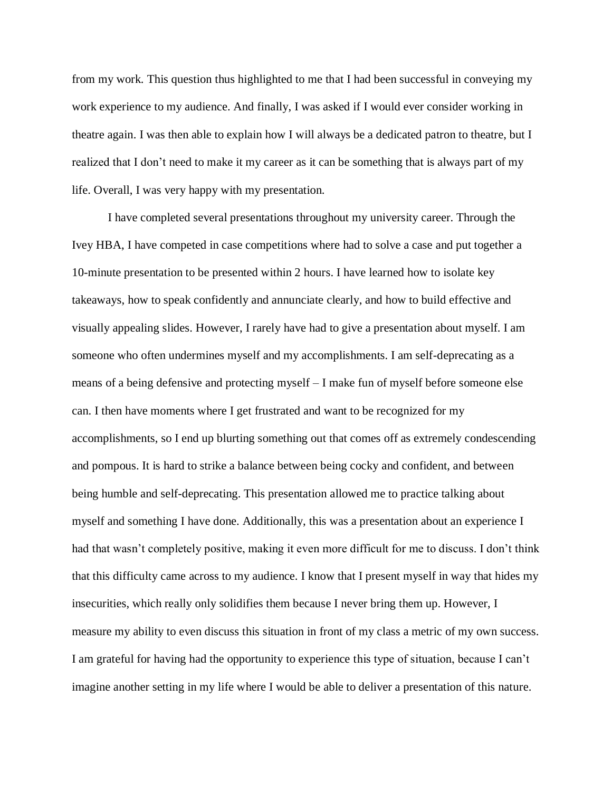from my work. This question thus highlighted to me that I had been successful in conveying my work experience to my audience. And finally, I was asked if I would ever consider working in theatre again. I was then able to explain how I will always be a dedicated patron to theatre, but I realized that I don't need to make it my career as it can be something that is always part of my life. Overall, I was very happy with my presentation.

I have completed several presentations throughout my university career. Through the Ivey HBA, I have competed in case competitions where had to solve a case and put together a 10-minute presentation to be presented within 2 hours. I have learned how to isolate key takeaways, how to speak confidently and annunciate clearly, and how to build effective and visually appealing slides. However, I rarely have had to give a presentation about myself. I am someone who often undermines myself and my accomplishments. I am self-deprecating as a means of a being defensive and protecting myself – I make fun of myself before someone else can. I then have moments where I get frustrated and want to be recognized for my accomplishments, so I end up blurting something out that comes off as extremely condescending and pompous. It is hard to strike a balance between being cocky and confident, and between being humble and self-deprecating. This presentation allowed me to practice talking about myself and something I have done. Additionally, this was a presentation about an experience I had that wasn't completely positive, making it even more difficult for me to discuss. I don't think that this difficulty came across to my audience. I know that I present myself in way that hides my insecurities, which really only solidifies them because I never bring them up. However, I measure my ability to even discuss this situation in front of my class a metric of my own success. I am grateful for having had the opportunity to experience this type of situation, because I can't imagine another setting in my life where I would be able to deliver a presentation of this nature.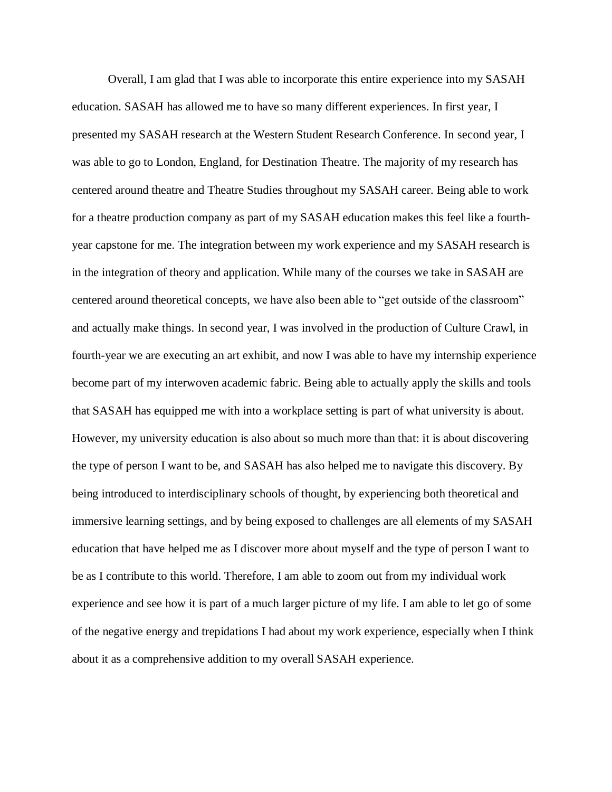Overall, I am glad that I was able to incorporate this entire experience into my SASAH education. SASAH has allowed me to have so many different experiences. In first year, I presented my SASAH research at the Western Student Research Conference. In second year, I was able to go to London, England, for Destination Theatre. The majority of my research has centered around theatre and Theatre Studies throughout my SASAH career. Being able to work for a theatre production company as part of my SASAH education makes this feel like a fourthyear capstone for me. The integration between my work experience and my SASAH research is in the integration of theory and application. While many of the courses we take in SASAH are centered around theoretical concepts, we have also been able to "get outside of the classroom" and actually make things. In second year, I was involved in the production of Culture Crawl, in fourth-year we are executing an art exhibit, and now I was able to have my internship experience become part of my interwoven academic fabric. Being able to actually apply the skills and tools that SASAH has equipped me with into a workplace setting is part of what university is about. However, my university education is also about so much more than that: it is about discovering the type of person I want to be, and SASAH has also helped me to navigate this discovery. By being introduced to interdisciplinary schools of thought, by experiencing both theoretical and immersive learning settings, and by being exposed to challenges are all elements of my SASAH education that have helped me as I discover more about myself and the type of person I want to be as I contribute to this world. Therefore, I am able to zoom out from my individual work experience and see how it is part of a much larger picture of my life. I am able to let go of some of the negative energy and trepidations I had about my work experience, especially when I think about it as a comprehensive addition to my overall SASAH experience.